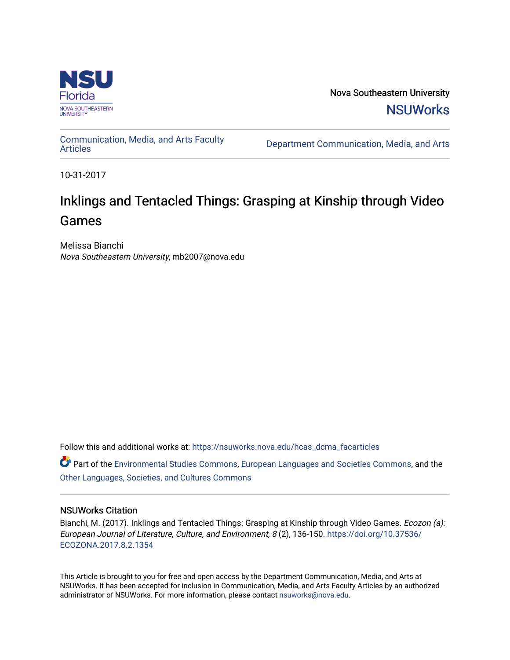

Nova Southeastern University **NSUWorks** 

[Communication, Media, and Arts Faculty](https://nsuworks.nova.edu/hcas_dcma_facarticles)

Department Communication, Media, and Arts

10-31-2017

# Inklings and Tentacled Things: Grasping at Kinship through Video Games

Melissa Bianchi Nova Southeastern University, mb2007@nova.edu

Follow this and additional works at: [https://nsuworks.nova.edu/hcas\\_dcma\\_facarticles](https://nsuworks.nova.edu/hcas_dcma_facarticles?utm_source=nsuworks.nova.edu%2Fhcas_dcma_facarticles%2F18&utm_medium=PDF&utm_campaign=PDFCoverPages) 

Part of the [Environmental Studies Commons](http://network.bepress.com/hgg/discipline/1333?utm_source=nsuworks.nova.edu%2Fhcas_dcma_facarticles%2F18&utm_medium=PDF&utm_campaign=PDFCoverPages), [European Languages and Societies Commons,](http://network.bepress.com/hgg/discipline/482?utm_source=nsuworks.nova.edu%2Fhcas_dcma_facarticles%2F18&utm_medium=PDF&utm_campaign=PDFCoverPages) and the [Other Languages, Societies, and Cultures Commons](http://network.bepress.com/hgg/discipline/475?utm_source=nsuworks.nova.edu%2Fhcas_dcma_facarticles%2F18&utm_medium=PDF&utm_campaign=PDFCoverPages) 

### NSUWorks Citation

Bianchi, M. (2017). Inklings and Tentacled Things: Grasping at Kinship through Video Games. Ecozon (a): European Journal of Literature, Culture, and Environment, 8 (2), 136-150. [https://doi.org/10.37536/](https://doi.org/10.37536/ECOZONA.2017.8.2.1354) [ECOZONA.2017.8.2.1354](https://doi.org/10.37536/ECOZONA.2017.8.2.1354)

This Article is brought to you for free and open access by the Department Communication, Media, and Arts at NSUWorks. It has been accepted for inclusion in Communication, Media, and Arts Faculty Articles by an authorized administrator of NSUWorks. For more information, please contact [nsuworks@nova.edu.](mailto:nsuworks@nova.edu)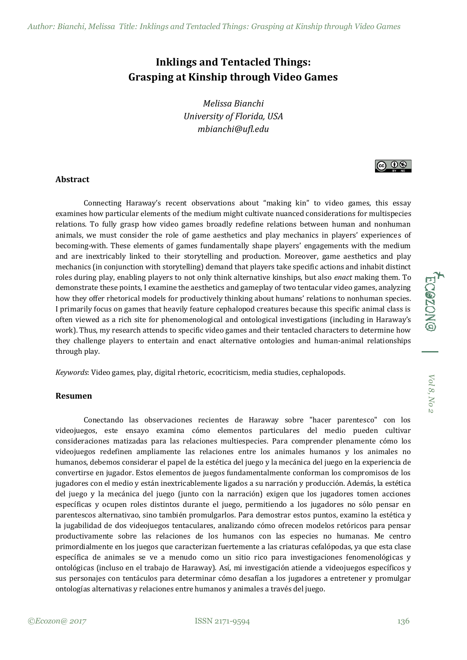# **Inklings and Tentacled Things: Grasping at Kinship through Video Games**

*Melissa Bianchi University of Florida, USA mbianchi@ufl.edu*

#### **Abstract**

Connecting Haraway's recent observations about "making kin" to video games, this essay examines how particular elements of the medium might cultivate nuanced considerations for multispecies relations. To fully grasp how video games broadly redefine relations between human and nonhuman animals, we must consider the role of game aesthetics and play mechanics in players' experiences of becoming-with. These elements of games fundamentally shape players' engagements with the medium and are inextricably linked to their storytelling and production. Moreover, game aesthetics and play mechanics (in conjunction with storytelling) demand that players take specific actions and inhabit distinct roles during play, enabling players to not only think alternative kinships, but also *enact* making them. To demonstrate these points, I examine the aesthetics and gameplay of two tentacular video games, analyzing how they offer rhetorical models for productively thinking about humans' relations to nonhuman species. I primarily focus on games that heavily feature cephalopod creatures because this specific animal class is often viewed as a rich site for phenomenological and ontological investigations (including in Haraway's work). Thus, my research attends to specific video games and their tentacled characters to determine how they challenge players to entertain and enact alternative ontologies and human-animal relationships through play.

*Keywords*: Video games, play, digital rhetoric, ecocriticism, media studies, cephalopods.

#### **Resumen**

Conectando las observaciones recientes de Haraway sobre "hacer parentesco" con los videojuegos, este ensayo examina cómo elementos particulares del medio pueden cultivar consideraciones matizadas para las relaciones multiespecies. Para comprender plenamente cómo los videojuegos redefinen ampliamente las relaciones entre los animales humanos y los animales no humanos, debemos considerar el papel de la estética del juego y la mecánica del juego en la experiencia de convertirse en jugador. Estos elementos de juegos fundamentalmente conforman los compromisos de los jugadores con el medio y están inextricablemente ligados a su narración y producción. Además, la estética del juego y la mecánica del juego (junto con la narración) exigen que los jugadores tomen acciones específicas y ocupen roles distintos durante el juego, permitiendo a los jugadores no sólo pensar en parentescos alternativao, sino también promulgarlos. Para demostrar estos puntos, examino la estética y la jugabilidad de dos videojuegos tentaculares, analizando cómo ofrecen modelos retóricos para pensar productivamente sobre las relaciones de los humanos con las especies no humanas. Me centro primordialmente en los juegos que caracterizan fuertemente a las criaturas cefalópodas, ya que esta clase específica de animales se ve a menudo como un sitio rico para investigaciones fenomenológicas y ontológicas (incluso en el trabajo de Haraway). Así, mi investigación atiende a videojuegos específicos y sus personajes con tentáculos para determinar cómo desafían a los jugadores a entretener y promulgar ontologías alternativas y relaciones entre humanos y animales a través del juego.

ECOZONG

ெ 0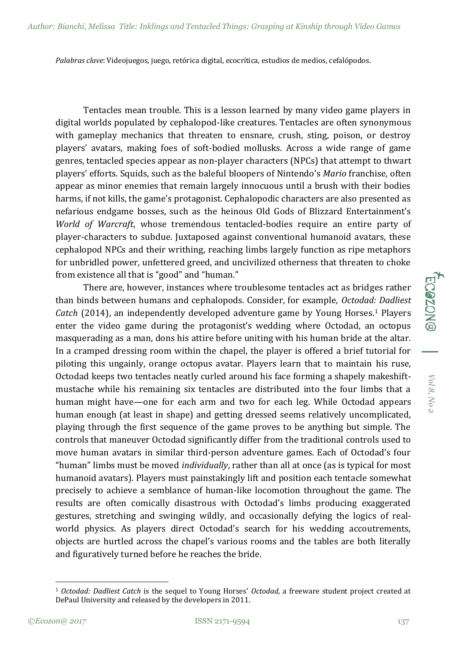*Palabras clave*: Videojuegos, juego, retórica digital, ecocrítica, estudios de medios, cefalópodos.

Tentacles mean trouble. This is a lesson learned by many video game players in digital worlds populated by cephalopod-like creatures. Tentacles are often synonymous with gameplay mechanics that threaten to ensnare, crush, sting, poison, or destroy players' avatars, making foes of soft-bodied mollusks. Across a wide range of game genres, tentacled species appear as non-player characters (NPCs) that attempt to thwart players' efforts. Squids, such as the baleful bloopers of Nintendo's *Mario* franchise, often appear as minor enemies that remain largely innocuous until a brush with their bodies harms, if not kills, the game's protagonist. Cephalopodic characters are also presented as nefarious endgame bosses, such as the heinous Old Gods of Blizzard Entertainment's *World of Warcraft*, whose tremendous tentacled-bodies require an entire party of player-characters to subdue. Juxtaposed against conventional humanoid avatars, these cephalopod NPCs and their writhing, reaching limbs largely function as ripe metaphors for unbridled power, unfettered greed, and uncivilized otherness that threaten to choke from existence all that is "good" and "human."

There are, however, instances where troublesome tentacles act as bridges rather than binds between humans and cephalopods. Consider, for example, *Octodad: Dadliest Catch* (2014), an independently developed adventure game by Young Horses.<sup>1</sup> Players enter the video game during the protagonist's wedding where Octodad, an octopus masquerading as a man, dons his attire before uniting with his human bride at the altar. In a cramped dressing room within the chapel, the player is offered a brief tutorial for piloting this ungainly, orange octopus avatar. Players learn that to maintain his ruse, Octodad keeps two tentacles neatly curled around his face forming a shapely makeshiftmustache while his remaining six tentacles are distributed into the four limbs that a human might have—one for each arm and two for each leg. While Octodad appears human enough (at least in shape) and getting dressed seems relatively uncomplicated, playing through the first sequence of the game proves to be anything but simple. The controls that maneuver Octodad significantly differ from the traditional controls used to move human avatars in similar third-person adventure games. Each of Octodad's four "human" limbs must be moved *individually*, rather than all at once (as is typical for most humanoid avatars). Players must painstakingly lift and position each tentacle somewhat precisely to achieve a semblance of human-like locomotion throughout the game. The results are often comically disastrous with Octodad's limbs producing exaggerated gestures, stretching and swinging wildly, and occasionally defying the logics of realworld physics. As players direct Octodad's search for his wedding accoutrements, objects are hurtled across the chapel's various rooms and the tables are both literally and figuratively turned before he reaches the bride.

1

*Vol 8, No 2*

Vol 8, No

**ECGZON®** 

<sup>1</sup> *Octodad: Dadliest Catch* is the sequel to Young Horses' *Octodad*, a freeware student project created at DePaul University and released by the developers in 2011.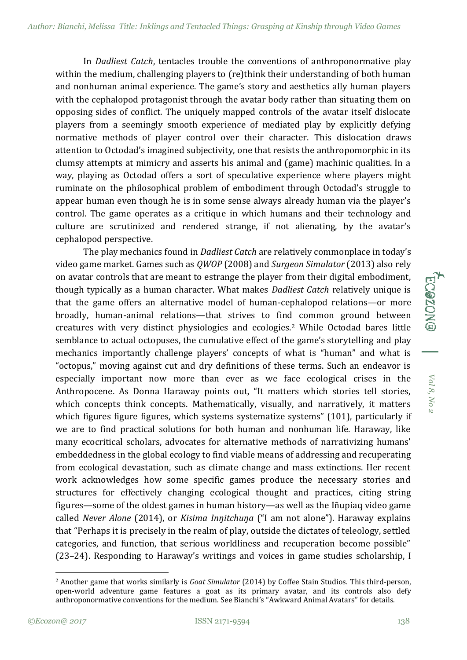In *Dadliest Catch*, tentacles trouble the conventions of anthroponormative play within the medium, challenging players to (re)think their understanding of both human and nonhuman animal experience. The game's story and aesthetics ally human players with the cephalopod protagonist through the avatar body rather than situating them on opposing sides of conflict. The uniquely mapped controls of the avatar itself dislocate players from a seemingly smooth experience of mediated play by explicitly defying normative methods of player control over their character. This dislocation draws attention to Octodad's imagined subjectivity, one that resists the anthropomorphic in its clumsy attempts at mimicry and asserts his animal and (game) machinic qualities. In a way, playing as Octodad offers a sort of speculative experience where players might ruminate on the philosophical problem of embodiment through Octodad's struggle to appear human even though he is in some sense always already human via the player's control. The game operates as a critique in which humans and their technology and culture are scrutinized and rendered strange, if not alienating, by the avatar's cephalopod perspective.

The play mechanics found in *Dadliest Catch* are relatively commonplace in today's video game market. Games such as *QWOP* (2008) and *Surgeon Simulator* (2013) also rely on avatar controls that are meant to estrange the player from their digital embodiment, though typically as a human character. What makes *Dadliest Catch* relatively unique is that the game offers an alternative model of human-cephalopod relations—or more broadly, human-animal relations—that strives to find common ground between creatures with very distinct physiologies and ecologies.<sup>2</sup> While Octodad bares little semblance to actual octopuses, the cumulative effect of the game's storytelling and play mechanics importantly challenge players' concepts of what is "human" and what is "octopus," moving against cut and dry definitions of these terms. Such an endeavor is especially important now more than ever as we face ecological crises in the Anthropocene. As Donna Haraway points out, "It matters which stories tell stories, which concepts think concepts. Mathematically, visually, and narratively, it matters which figures figure figures, which systems systematize systems" (101), particularly if we are to find practical solutions for both human and nonhuman life. Haraway, like many ecocritical scholars, advocates for alternative methods of narrativizing humans' embeddedness in the global ecology to find viable means of addressing and recuperating from ecological devastation, such as climate change and mass extinctions. Her recent work acknowledges how some specific games produce the necessary stories and structures for effectively changing ecological thought and practices, citing string figures—some of the oldest games in human history—as well as the Iñupiaq video game called *Never Alone* (2014), or *Kisima Inŋitchuŋa* ("I am not alone"). Haraway explains that "Perhaps it is precisely in the realm of play, outside the dictates of teleology, settled categories, and function, that serious worldliness and recuperation become possible" (23–24). Responding to Haraway's writings and voices in game studies scholarship, I

1

*Vol 8, No 2*

Vol 8, No 2

**ECOZON** 

<sup>2</sup> Another game that works similarly is *Goat Simulator* (2014) by Coffee Stain Studios. This third-person, open-world adventure game features a goat as its primary avatar, and its controls also defy anthroponormative conventions for the medium. See Bianchi's "Awkward Animal Avatars" for details.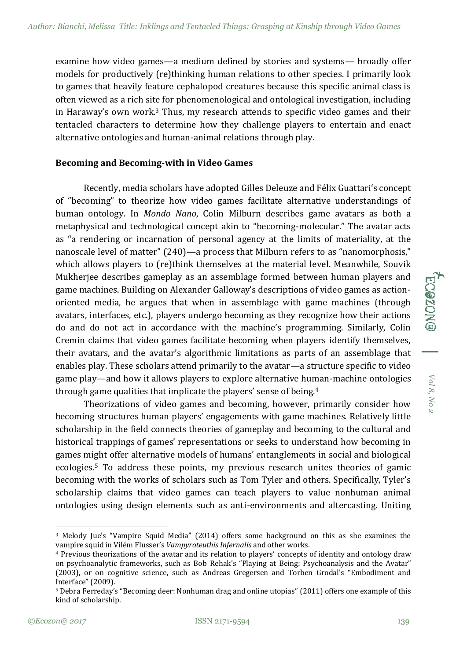examine how video games—a medium defined by stories and systems— broadly offer models for productively (re)thinking human relations to other species. I primarily look to games that heavily feature cephalopod creatures because this specific animal class is often viewed as a rich site for phenomenological and ontological investigation, including in Haraway's own work.<sup>3</sup> Thus, my research attends to specific video games and their tentacled characters to determine how they challenge players to entertain and enact alternative ontologies and human-animal relations through play.

### **Becoming and Becoming-with in Video Games**

Recently, media scholars have adopted Gilles Deleuze and Félix Guattari's concept of "becoming" to theorize how video games facilitate alternative understandings of human ontology. In *Mondo Nano*, Colin Milburn describes game avatars as both a metaphysical and technological concept akin to "becoming-molecular." The avatar acts as "a rendering or incarnation of personal agency at the limits of materiality, at the nanoscale level of matter" (240)—a process that Milburn refers to as "nanomorphosis," which allows players to (re)think themselves at the material level. Meanwhile, Souvik Mukherjee describes gameplay as an assemblage formed between human players and game machines. Building on Alexander Galloway's descriptions of video games as actionoriented media, he argues that when in assemblage with game machines (through avatars, interfaces, etc.), players undergo becoming as they recognize how their actions do and do not act in accordance with the machine's programming. Similarly, Colin Cremin claims that video games facilitate becoming when players identify themselves, their avatars, and the avatar's algorithmic limitations as parts of an assemblage that enables play. These scholars attend primarily to the avatar—a structure specific to video game play—and how it allows players to explore alternative human-machine ontologies through game qualities that implicate the players' sense of being.<sup>4</sup>

Theorizations of video games and becoming, however, primarily consider how becoming structures human players' engagements with game machines. Relatively little scholarship in the field connects theories of gameplay and becoming to the cultural and historical trappings of games' representations or seeks to understand how becoming in games might offer alternative models of humans' entanglements in social and biological ecologies.<sup>5</sup> To address these points, my previous research unites theories of gamic becoming with the works of scholars such as Tom Tyler and others. Specifically, Tyler's scholarship claims that video games can teach players to value nonhuman animal ontologies using design elements such as anti-environments and altercasting. Uniting

-

*Vol 8, No 2*

 $Vol$ 8, No 2

**ECGZONG** 

<sup>3</sup> Melody Jue's "Vampire Squid Media" (2014) offers some background on this as she examines the vampire squid in Vilém Flusser's *Vampyroteuthis Infernalis* and other works.

<sup>4</sup> Previous theorizations of the avatar and its relation to players' concepts of identity and ontology draw on psychoanalytic frameworks, such as Bob Rehak's "Playing at Being: Psychoanalysis and the Avatar" (2003), or on cognitive science, such as Andreas Gregersen and Torben Grodal's "Embodiment and Interface" (2009).

<sup>5</sup> Debra Ferreday's "Becoming deer: Nonhuman drag and online utopias" (2011) offers one example of this kind of scholarship.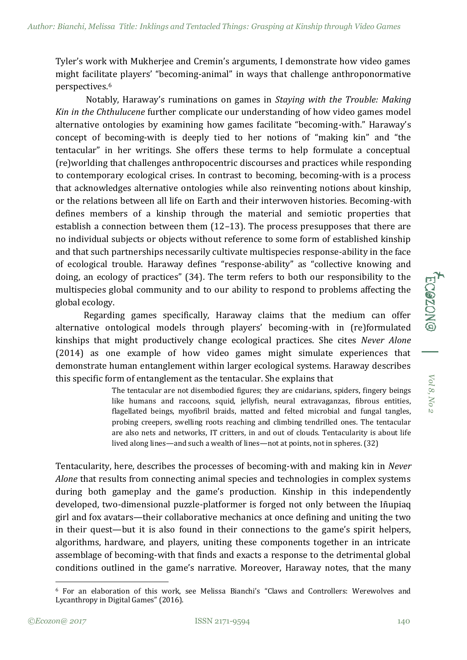Tyler's work with Mukherjee and Cremin's arguments, I demonstrate how video games might facilitate players' "becoming-animal" in ways that challenge anthroponormative perspectives.<sup>6</sup>

Notably, Haraway's ruminations on games in *Staying with the Trouble: Making Kin in the Chthulucene* further complicate our understanding of how video games model alternative ontologies by examining how games facilitate "becoming-with." Haraway's concept of becoming-with is deeply tied to her notions of "making kin" and "the tentacular" in her writings. She offers these terms to help formulate a conceptual (re)worlding that challenges anthropocentric discourses and practices while responding to contemporary ecological crises. In contrast to becoming, becoming-with is a process that acknowledges alternative ontologies while also reinventing notions about kinship, or the relations between all life on Earth and their interwoven histories. Becoming-with defines members of a kinship through the material and semiotic properties that establish a connection between them (12–13). The process presupposes that there are no individual subjects or objects without reference to some form of established kinship and that such partnerships necessarily cultivate multispecies response-ability in the face of ecological trouble. Haraway defines "response-ability" as "collective knowing and doing, an ecology of practices" (34). The term refers to both our responsibility to the multispecies global community and to our ability to respond to problems affecting the global ecology.

Regarding games specifically, Haraway claims that the medium can offer alternative ontological models through players' becoming-with in (re)formulated kinships that might productively change ecological practices. She cites *Never Alone* (2014) as one example of how video games might simulate experiences that demonstrate human entanglement within larger ecological systems. Haraway describes this specific form of entanglement as the tentacular. She explains that

> The tentacular are not disembodied figures; they are cnidarians, spiders, fingery beings like humans and raccoons, squid, jellyfish, neural extravaganzas, fibrous entities, flagellated beings, myofibril braids, matted and felted microbial and fungal tangles, probing creepers, swelling roots reaching and climbing tendrilled ones. The tentacular are also nets and networks, IT critters, in and out of clouds. Tentacularity is about life lived along lines—and such a wealth of lines—not at points, not in spheres. (32)

Tentacularity, here, describes the processes of becoming-with and making kin in *Never Alone* that results from connecting animal species and technologies in complex systems during both gameplay and the game's production. Kinship in this independently developed, two-dimensional puzzle-platformer is forged not only between the Iñupiaq girl and fox avatars—their collaborative mechanics at once defining and uniting the two in their quest—but it is also found in their connections to the game's spirit helpers, algorithms, hardware, and players, uniting these components together in an intricate assemblage of becoming-with that finds and exacts a response to the detrimental global conditions outlined in the game's narrative. Moreover, Haraway notes, that the many

1

*Vol 8, No 2*

Vol 8, No

**ECOZON®** 

<sup>6</sup> For an elaboration of this work, see Melissa Bianchi's "Claws and Controllers: Werewolves and Lycanthropy in Digital Games" (2016).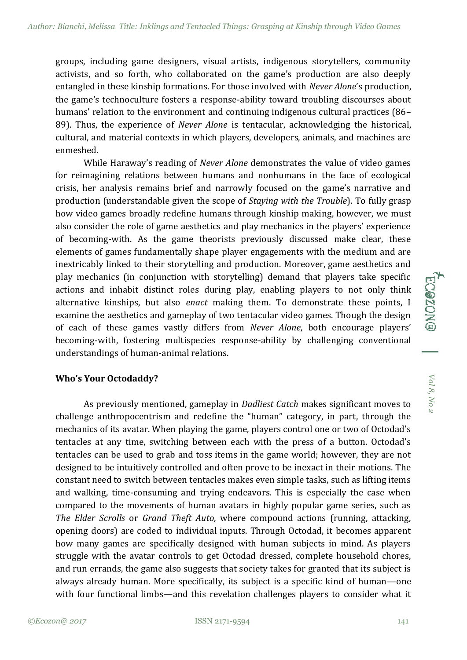groups, including game designers, visual artists, indigenous storytellers, community activists, and so forth, who collaborated on the game's production are also deeply entangled in these kinship formations. For those involved with *Never Alone*'s production, the game's technoculture fosters a response-ability toward troubling discourses about humans' relation to the environment and continuing indigenous cultural practices (86– 89). Thus, the experience of *Never Alone* is tentacular, acknowledging the historical, cultural, and material contexts in which players, developers, animals, and machines are enmeshed.

While Haraway's reading of *Never Alone* demonstrates the value of video games for reimagining relations between humans and nonhumans in the face of ecological crisis, her analysis remains brief and narrowly focused on the game's narrative and production (understandable given the scope of *Staying with the Trouble*). To fully grasp how video games broadly redefine humans through kinship making, however, we must also consider the role of game aesthetics and play mechanics in the players' experience of becoming-with. As the game theorists previously discussed make clear, these elements of games fundamentally shape player engagements with the medium and are inextricably linked to their storytelling and production. Moreover, game aesthetics and play mechanics (in conjunction with storytelling) demand that players take specific actions and inhabit distinct roles during play, enabling players to not only think alternative kinships, but also *enact* making them. To demonstrate these points, I examine the aesthetics and gameplay of two tentacular video games. Though the design of each of these games vastly differs from *Never Alone*, both encourage players' becoming-with, fostering multispecies response-ability by challenging conventional understandings of human-animal relations.

### **Who's Your Octodaddy?**

As previously mentioned, gameplay in *Dadliest Catch* makes significant moves to challenge anthropocentrism and redefine the "human" category, in part, through the mechanics of its avatar. When playing the game, players control one or two of Octodad's tentacles at any time, switching between each with the press of a button. Octodad's tentacles can be used to grab and toss items in the game world; however, they are not designed to be intuitively controlled and often prove to be inexact in their motions. The constant need to switch between tentacles makes even simple tasks, such as lifting items and walking, time-consuming and trying endeavors. This is especially the case when compared to the movements of human avatars in highly popular game series, such as *The Elder Scrolls* or *Grand Theft Auto*, where compound actions (running, attacking, opening doors) are coded to individual inputs. Through Octodad, it becomes apparent how many games are specifically designed with human subjects in mind. As players struggle with the avatar controls to get Octodad dressed, complete household chores, and run errands, the game also suggests that society takes for granted that its subject is always already human. More specifically, its subject is a specific kind of human—one with four functional limbs—and this revelation challenges players to consider what it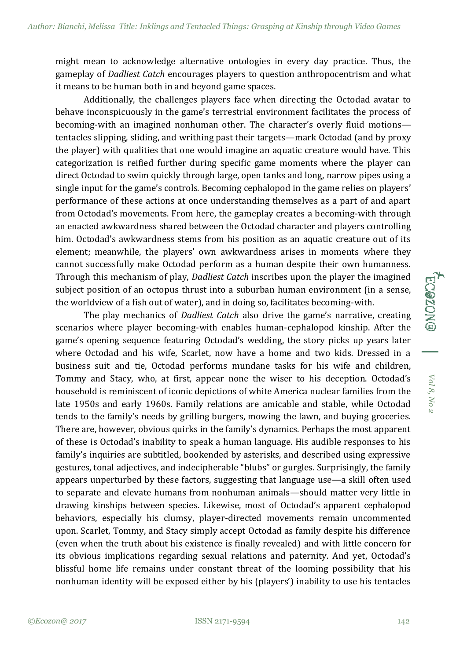might mean to acknowledge alternative ontologies in every day practice. Thus, the gameplay of *Dadliest Catch* encourages players to question anthropocentrism and what it means to be human both in and beyond game spaces.

Additionally, the challenges players face when directing the Octodad avatar to behave inconspicuously in the game's terrestrial environment facilitates the process of becoming-with an imagined nonhuman other. The character's overly fluid motions tentacles slipping, sliding, and writhing past their targets—mark Octodad (and by proxy the player) with qualities that one would imagine an aquatic creature would have. This categorization is reified further during specific game moments where the player can direct Octodad to swim quickly through large, open tanks and long, narrow pipes using a single input for the game's controls. Becoming cephalopod in the game relies on players' performance of these actions at once understanding themselves as a part of and apart from Octodad's movements. From here, the gameplay creates a becoming-with through an enacted awkwardness shared between the Octodad character and players controlling him. Octodad's awkwardness stems from his position as an aquatic creature out of its element; meanwhile, the players' own awkwardness arises in moments where they cannot successfully make Octodad perform as a human despite their own humanness. Through this mechanism of play, *Dadliest Catch* inscribes upon the player the imagined subject position of an octopus thrust into a suburban human environment (in a sense, the worldview of a fish out of water), and in doing so, facilitates becoming-with.

The play mechanics of *Dadliest Catch* also drive the game's narrative, creating scenarios where player becoming-with enables human-cephalopod kinship. After the game's opening sequence featuring Octodad's wedding, the story picks up years later where Octodad and his wife, Scarlet, now have a home and two kids. Dressed in a business suit and tie, Octodad performs mundane tasks for his wife and children, Tommy and Stacy, who, at first, appear none the wiser to his deception. Octodad's household is reminiscent of iconic depictions of white America nuclear families from the late 1950s and early 1960s. Family relations are amicable and stable, while Octodad tends to the family's needs by grilling burgers, mowing the lawn, and buying groceries. There are, however, obvious quirks in the family's dynamics. Perhaps the most apparent of these is Octodad's inability to speak a human language. His audible responses to his family's inquiries are subtitled, bookended by asterisks, and described using expressive gestures, tonal adjectives, and indecipherable "blubs" or gurgles. Surprisingly, the family appears unperturbed by these factors, suggesting that language use—a skill often used to separate and elevate humans from nonhuman animals—should matter very little in drawing kinships between species. Likewise, most of Octodad's apparent cephalopod behaviors, especially his clumsy, player-directed movements remain uncommented upon. Scarlet, Tommy, and Stacy simply accept Octodad as family despite his difference (even when the truth about his existence is finally revealed) and with little concern for its obvious implications regarding sexual relations and paternity. And yet, Octodad's blissful home life remains under constant threat of the looming possibility that his nonhuman identity will be exposed either by his (players') inability to use his tentacles

*Vol 8, No 2*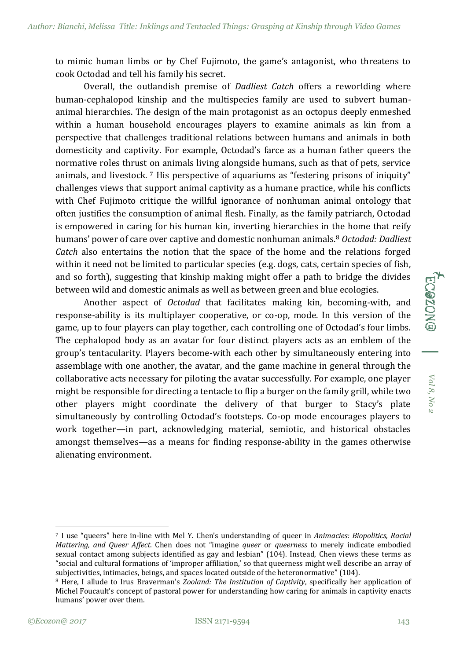to mimic human limbs or by Chef Fujimoto, the game's antagonist, who threatens to cook Octodad and tell his family his secret.

Overall, the outlandish premise of *Dadliest Catch* offers a reworlding where human-cephalopod kinship and the multispecies family are used to subvert humananimal hierarchies. The design of the main protagonist as an octopus deeply enmeshed within a human household encourages players to examine animals as kin from a perspective that challenges traditional relations between humans and animals in both domesticity and captivity. For example, Octodad's farce as a human father queers the normative roles thrust on animals living alongside humans, such as that of pets, service animals, and livestock. <sup>7</sup> His perspective of aquariums as "festering prisons of iniquity" challenges views that support animal captivity as a humane practice, while his conflicts with Chef Fujimoto critique the willful ignorance of nonhuman animal ontology that often justifies the consumption of animal flesh. Finally, as the family patriarch, Octodad is empowered in caring for his human kin, inverting hierarchies in the home that reify humans' power of care over captive and domestic nonhuman animals.<sup>8</sup> *Octodad: Dadliest Catch* also entertains the notion that the space of the home and the relations forged within it need not be limited to particular species (e.g. dogs, cats, certain species of fish, and so forth), suggesting that kinship making might offer a path to bridge the divides between wild and domestic animals as well as between green and blue ecologies.

Another aspect of *Octodad* that facilitates making kin, becoming-with, and response-ability is its multiplayer cooperative, or co-op, mode. In this version of the game, up to four players can play together, each controlling one of Octodad's four limbs. The cephalopod body as an avatar for four distinct players acts as an emblem of the group's tentacularity. Players become-with each other by simultaneously entering into assemblage with one another, the avatar, and the game machine in general through the collaborative acts necessary for piloting the avatar successfully. For example, one player might be responsible for directing a tentacle to flip a burger on the family grill, while two other players might coordinate the delivery of that burger to Stacy's plate simultaneously by controlling Octodad's footsteps. Co-op mode encourages players to work together—in part, acknowledging material, semiotic, and historical obstacles amongst themselves—as a means for finding response-ability in the games otherwise alienating environment.

*Vol 8, No 2*

 $Vol$ 8, No 2

**ECOZON** 

<sup>-</sup><sup>7</sup> I use "queers" here in-line with Mel Y. Chen's understanding of queer in *Animacies: Biopolitics, Racial Mattering, and Queer Affect*. Chen does not "imagine *queer* or *queerness* to merely indicate embodied sexual contact among subjects identified as gay and lesbian" (104). Instead, Chen views these terms as "social and cultural formations of 'improper affiliation,' so that queerness might well describe an array of subjectivities, intimacies, beings, and spaces located outside of the heteronormative" (104).

<sup>8</sup> Here, I allude to Irus Braverman's *Zooland: The Institution of Captivity*, specifically her application of Michel Foucault's concept of pastoral power for understanding how caring for animals in captivity enacts humans' power over them.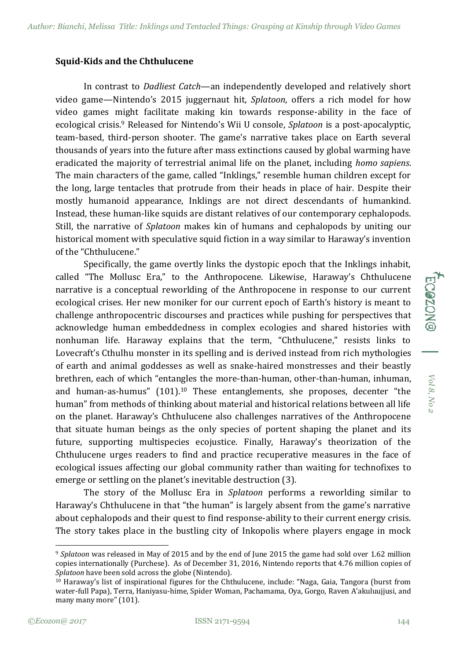#### **Squid-Kids and the Chthulucene**

In contrast to *Dadliest Catch*—an independently developed and relatively short video game—Nintendo's 2015 juggernaut hit, *Splatoon*, offers a rich model for how video games might facilitate making kin towards response-ability in the face of ecological crisis.<sup>9</sup> Released for Nintendo's Wii U console, *Splatoon* is a post-apocalyptic, team-based, third-person shooter. The game's narrative takes place on Earth several thousands of years into the future after mass extinctions caused by global warming have eradicated the majority of terrestrial animal life on the planet, including *homo sapiens*. The main characters of the game, called "Inklings," resemble human children except for the long, large tentacles that protrude from their heads in place of hair. Despite their mostly humanoid appearance, Inklings are not direct descendants of humankind. Instead, these human-like squids are distant relatives of our contemporary cephalopods. Still, the narrative of *Splatoon* makes kin of humans and cephalopods by uniting our historical moment with speculative squid fiction in a way similar to Haraway's invention of the "Chthulucene."

Specifically, the game overtly links the dystopic epoch that the Inklings inhabit, called "The Mollusc Era," to the Anthropocene. Likewise, Haraway's Chthulucene narrative is a conceptual reworlding of the Anthropocene in response to our current ecological crises. Her new moniker for our current epoch of Earth's history is meant to challenge anthropocentric discourses and practices while pushing for perspectives that acknowledge human embeddedness in complex ecologies and shared histories with nonhuman life. Haraway explains that the term, "Chthulucene," resists links to Lovecraft's Cthulhu monster in its spelling and is derived instead from rich mythologies of earth and animal goddesses as well as snake-haired monstresses and their beastly brethren, each of which "entangles the more-than-human, other-than-human, inhuman, and human-as-humus" (101).<sup>10</sup> These entanglements, she proposes, decenter "the human" from methods of thinking about material and historical relations between all life on the planet. Haraway's Chthulucene also challenges narratives of the Anthropocene that situate human beings as the only species of portent shaping the planet and its future, supporting multispecies ecojustice. Finally, Haraway's theorization of the Chthulucene urges readers to find and practice recuperative measures in the face of ecological issues affecting our global community rather than waiting for technofixes to emerge or settling on the planet's inevitable destruction (3).

The story of the Mollusc Era in *Splatoon* performs a reworlding similar to Haraway's Chthulucene in that "the human" is largely absent from the game's narrative about cephalopods and their quest to find response-ability to their current energy crisis. The story takes place in the bustling city of Inkopolis where players engage in mock *Vol 8, No 2*

Vol 8, No

-

<sup>9</sup> *Splatoon* was released in May of 2015 and by the end of June 2015 the game had sold over 1.62 million copies internationally (Purchese). As of December 31, 2016, Nintendo reports that 4.76 million copies of *Splatoon* have been sold across the globe (Nintendo).

 $10$  Haraway's list of inspirational figures for the Chthulucene, include: "Naga, Gaia, Tangora (burst from water-full Papa), Terra, Haniyasu-hime, Spider Woman, Pachamama, Oya, Gorgo, Raven A'akuluujjusi, and many many more" (101).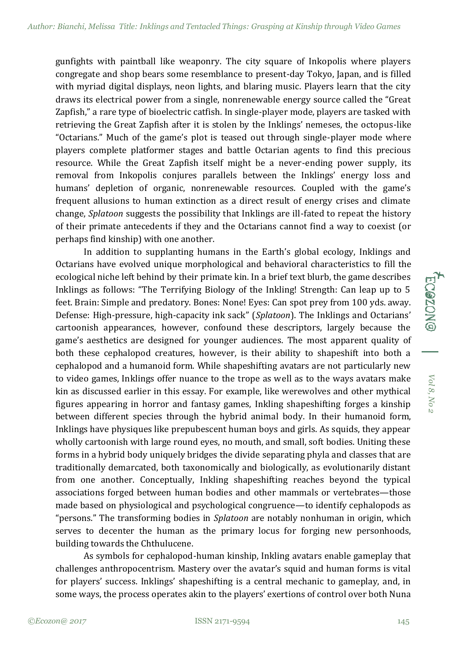gunfights with paintball like weaponry. The city square of Inkopolis where players congregate and shop bears some resemblance to present-day Tokyo, Japan, and is filled with myriad digital displays, neon lights, and blaring music. Players learn that the city draws its electrical power from a single, nonrenewable energy source called the "Great Zapfish," a rare type of bioelectric catfish. In single-player mode, players are tasked with retrieving the Great Zapfish after it is stolen by the Inklings' nemeses, the octopus-like "Octarians." Much of the game's plot is teased out through single-player mode where players complete platformer stages and battle Octarian agents to find this precious resource. While the Great Zapfish itself might be a never-ending power supply, its removal from Inkopolis conjures parallels between the Inklings' energy loss and humans' depletion of organic, nonrenewable resources. Coupled with the game's frequent allusions to human extinction as a direct result of energy crises and climate change, *Splatoon* suggests the possibility that Inklings are ill-fated to repeat the history of their primate antecedents if they and the Octarians cannot find a way to coexist (or perhaps find kinship) with one another.

In addition to supplanting humans in the Earth's global ecology, Inklings and Octarians have evolved unique morphological and behavioral characteristics to fill the ecological niche left behind by their primate kin. In a brief text blurb, the game describes Inklings as follows: "The Terrifying Biology of the Inkling! Strength: Can leap up to 5 feet. Brain: Simple and predatory. Bones: None! Eyes: Can spot prey from 100 yds. away. Defense: High-pressure, high-capacity ink sack" (*Splatoon*). The Inklings and Octarians' cartoonish appearances, however, confound these descriptors, largely because the game's aesthetics are designed for younger audiences. The most apparent quality of both these cephalopod creatures, however, is their ability to shapeshift into both a cephalopod and a humanoid form. While shapeshifting avatars are not particularly new to video games, Inklings offer nuance to the trope as well as to the ways avatars make kin as discussed earlier in this essay. For example, like werewolves and other mythical figures appearing in horror and fantasy games, Inkling shapeshifting forges a kinship between different species through the hybrid animal body. In their humanoid form, Inklings have physiques like prepubescent human boys and girls. As squids, they appear wholly cartoonish with large round eyes, no mouth, and small, soft bodies. Uniting these forms in a hybrid body uniquely bridges the divide separating phyla and classes that are traditionally demarcated, both taxonomically and biologically, as evolutionarily distant from one another. Conceptually, Inkling shapeshifting reaches beyond the typical associations forged between human bodies and other mammals or vertebrates—those made based on physiological and psychological congruence—to identify cephalopods as "persons." The transforming bodies in *Splatoon* are notably nonhuman in origin, which serves to decenter the human as the primary locus for forging new personhoods, building towards the Chthulucene.

As symbols for cephalopod-human kinship, Inkling avatars enable gameplay that challenges anthropocentrism. Mastery over the avatar's squid and human forms is vital for players' success. Inklings' shapeshifting is a central mechanic to gameplay, and, in some ways, the process operates akin to the players' exertions of control over both Nuna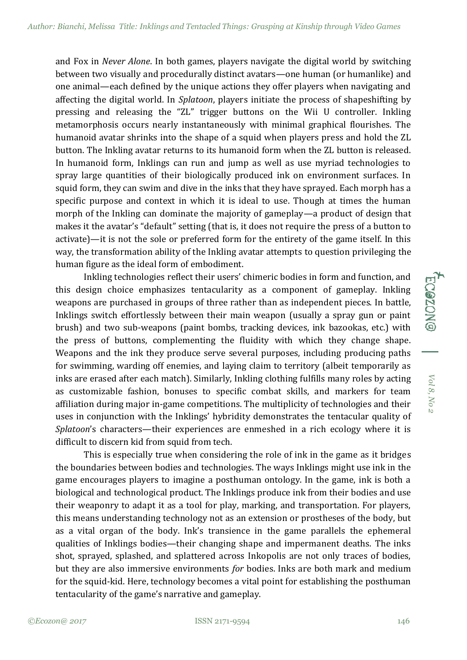and Fox in *Never Alone*. In both games, players navigate the digital world by switching between two visually and procedurally distinct avatars—one human (or humanlike) and one animal—each defined by the unique actions they offer players when navigating and affecting the digital world. In *Splatoon*, players initiate the process of shapeshifting by pressing and releasing the "ZL" trigger buttons on the Wii U controller. Inkling metamorphosis occurs nearly instantaneously with minimal graphical flourishes. The humanoid avatar shrinks into the shape of a squid when players press and hold the ZL button. The Inkling avatar returns to its humanoid form when the ZL button is released. In humanoid form, Inklings can run and jump as well as use myriad technologies to spray large quantities of their biologically produced ink on environment surfaces. In squid form, they can swim and dive in the inks that they have sprayed. Each morph has a specific purpose and context in which it is ideal to use. Though at times the human morph of the Inkling can dominate the majority of gameplay—a product of design that makes it the avatar's "default" setting (that is, it does not require the press of a button to activate)—it is not the sole or preferred form for the entirety of the game itself. In this way, the transformation ability of the Inkling avatar attempts to question privileging the human figure as the ideal form of embodiment.

Inkling technologies reflect their users' chimeric bodies in form and function, and this design choice emphasizes tentacularity as a component of gameplay. Inkling weapons are purchased in groups of three rather than as independent pieces. In battle, Inklings switch effortlessly between their main weapon (usually a spray gun or paint brush) and two sub-weapons (paint bombs, tracking devices, ink bazookas, etc.) with the press of buttons, complementing the fluidity with which they change shape. Weapons and the ink they produce serve several purposes, including producing paths for swimming, warding off enemies, and laying claim to territory (albeit temporarily as inks are erased after each match). Similarly, Inkling clothing fulfills many roles by acting as customizable fashion, bonuses to specific combat skills, and markers for team affiliation during major in-game competitions. The multiplicity of technologies and their uses in conjunction with the Inklings' hybridity demonstrates the tentacular quality of *Splatoon*'s characters—their experiences are enmeshed in a rich ecology where it is difficult to discern kid from squid from tech.

This is especially true when considering the role of ink in the game as it bridges the boundaries between bodies and technologies. The ways Inklings might use ink in the game encourages players to imagine a posthuman ontology. In the game, ink is both a biological and technological product. The Inklings produce ink from their bodies and use their weaponry to adapt it as a tool for play, marking, and transportation. For players, this means understanding technology not as an extension or prostheses of the body, but as a vital organ of the body. Ink's transience in the game parallels the ephemeral qualities of Inklings bodies—their changing shape and impermanent deaths. The inks shot, sprayed, splashed, and splattered across Inkopolis are not only traces of bodies, but they are also immersive environments *for* bodies. Inks are both mark and medium for the squid-kid. Here, technology becomes a vital point for establishing the posthuman tentacularity of the game's narrative and gameplay.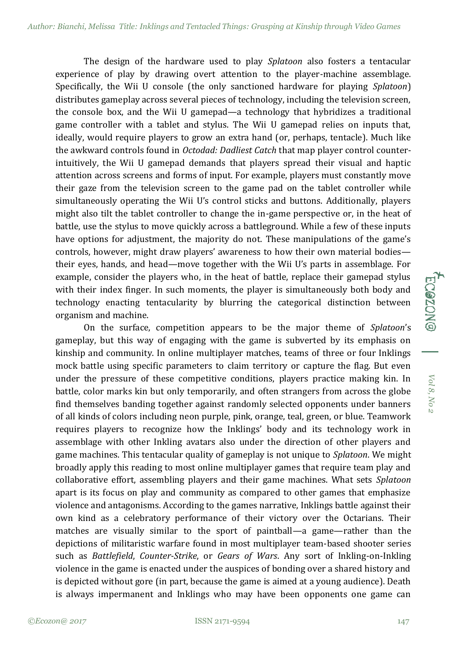The design of the hardware used to play *Splatoon* also fosters a tentacular experience of play by drawing overt attention to the player-machine assemblage. Specifically, the Wii U console (the only sanctioned hardware for playing *Splatoon*) distributes gameplay across several pieces of technology, including the television screen, the console box, and the Wii U gamepad—a technology that hybridizes a traditional game controller with a tablet and stylus. The Wii U gamepad relies on inputs that, ideally, would require players to grow an extra hand (or, perhaps, tentacle). Much like the awkward controls found in *Octodad: Dadliest Catch* that map player control counterintuitively, the Wii U gamepad demands that players spread their visual and haptic attention across screens and forms of input. For example, players must constantly move their gaze from the television screen to the game pad on the tablet controller while simultaneously operating the Wii U's control sticks and buttons. Additionally, players might also tilt the tablet controller to change the in-game perspective or, in the heat of battle, use the stylus to move quickly across a battleground. While a few of these inputs have options for adjustment, the majority do not. These manipulations of the game's controls, however, might draw players' awareness to how their own material bodies their eyes, hands, and head—move together with the Wii U's parts in assemblage. For example, consider the players who, in the heat of battle, replace their gamepad stylus with their index finger. In such moments, the player is simultaneously both body and technology enacting tentacularity by blurring the categorical distinction between organism and machine.

On the surface, competition appears to be the major theme of *Splatoon*'s gameplay, but this way of engaging with the game is subverted by its emphasis on kinship and community. In online multiplayer matches, teams of three or four Inklings mock battle using specific parameters to claim territory or capture the flag. But even under the pressure of these competitive conditions, players practice making kin. In battle, color marks kin but only temporarily, and often strangers from across the globe find themselves banding together against randomly selected opponents under banners of all kinds of colors including neon purple, pink, orange, teal, green, or blue. Teamwork requires players to recognize how the Inklings' body and its technology work in assemblage with other Inkling avatars also under the direction of other players and game machines. This tentacular quality of gameplay is not unique to *Splatoon*. We might broadly apply this reading to most online multiplayer games that require team play and collaborative effort, assembling players and their game machines. What sets *Splatoon*  apart is its focus on play and community as compared to other games that emphasize violence and antagonisms. According to the games narrative, Inklings battle against their own kind as a celebratory performance of their victory over the Octarians. Their matches are visually similar to the sport of paintball—a game—rather than the depictions of militaristic warfare found in most multiplayer team-based shooter series such as *Battlefield*, *Counter-Strike*, or *Gears of Wars*. Any sort of Inkling-on-Inkling violence in the game is enacted under the auspices of bonding over a shared history and is depicted without gore (in part, because the game is aimed at a young audience). Death is always impermanent and Inklings who may have been opponents one game can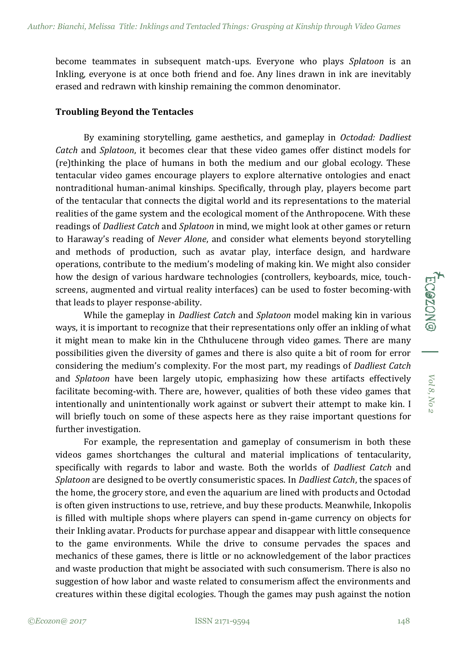become teammates in subsequent match-ups. Everyone who plays *Splatoon* is an Inkling, everyone is at once both friend and foe. Any lines drawn in ink are inevitably erased and redrawn with kinship remaining the common denominator.

### **Troubling Beyond the Tentacles**

By examining storytelling, game aesthetics, and gameplay in *Octodad: Dadliest Catch* and *Splatoon*, it becomes clear that these video games offer distinct models for (re)thinking the place of humans in both the medium and our global ecology. These tentacular video games encourage players to explore alternative ontologies and enact nontraditional human-animal kinships. Specifically, through play, players become part of the tentacular that connects the digital world and its representations to the material realities of the game system and the ecological moment of the Anthropocene. With these readings of *Dadliest Catch* and *Splatoon* in mind, we might look at other games or return to Haraway's reading of *Never Alone*, and consider what elements beyond storytelling and methods of production, such as avatar play, interface design, and hardware operations, contribute to the medium's modeling of making kin. We might also consider how the design of various hardware technologies (controllers, keyboards, mice, touchscreens, augmented and virtual reality interfaces) can be used to foster becoming-with that leads to player response-ability.

While the gameplay in *Dadliest Catch* and *Splatoon* model making kin in various ways, it is important to recognize that their representations only offer an inkling of what it might mean to make kin in the Chthulucene through video games. There are many possibilities given the diversity of games and there is also quite a bit of room for error considering the medium's complexity. For the most part, my readings of *Dadliest Catch*  and *Splatoon* have been largely utopic, emphasizing how these artifacts effectively facilitate becoming-with. There are, however, qualities of both these video games that intentionally and unintentionally work against or subvert their attempt to make kin. I will briefly touch on some of these aspects here as they raise important questions for further investigation.

For example, the representation and gameplay of consumerism in both these videos games shortchanges the cultural and material implications of tentacularity, specifically with regards to labor and waste. Both the worlds of *Dadliest Catch* and *Splatoon* are designed to be overtly consumeristic spaces. In *Dadliest Catch*, the spaces of the home, the grocery store, and even the aquarium are lined with products and Octodad is often given instructions to use, retrieve, and buy these products. Meanwhile, Inkopolis is filled with multiple shops where players can spend in-game currency on objects for their Inkling avatar. Products for purchase appear and disappear with little consequence to the game environments. While the drive to consume pervades the spaces and mechanics of these games, there is little or no acknowledgement of the labor practices and waste production that might be associated with such consumerism. There is also no suggestion of how labor and waste related to consumerism affect the environments and creatures within these digital ecologies. Though the games may push against the notion

*Vol 8, No 2*

Vol 8, No 2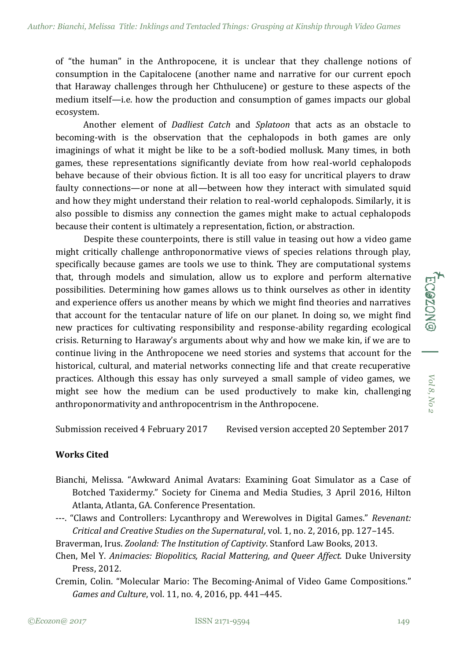of "the human" in the Anthropocene, it is unclear that they challenge notions of consumption in the Capitalocene (another name and narrative for our current epoch that Haraway challenges through her Chthulucene) or gesture to these aspects of the medium itself—i.e. how the production and consumption of games impacts our global ecosystem.

Another element of *Dadliest Catch* and *Splatoon* that acts as an obstacle to becoming-with is the observation that the cephalopods in both games are only imaginings of what it might be like to be a soft-bodied mollusk. Many times, in both games, these representations significantly deviate from how real-world cephalopods behave because of their obvious fiction. It is all too easy for uncritical players to draw faulty connections—or none at all—between how they interact with simulated squid and how they might understand their relation to real-world cephalopods. Similarly, it is also possible to dismiss any connection the games might make to actual cephalopods because their content is ultimately a representation, fiction, or abstraction.

Despite these counterpoints, there is still value in teasing out how a video game might critically challenge anthroponormative views of species relations through play, specifically because games are tools we use to think. They are computational systems that, through models and simulation, allow us to explore and perform alternative possibilities. Determining how games allows us to think ourselves as other in identity and experience offers us another means by which we might find theories and narratives that account for the tentacular nature of life on our planet. In doing so, we might find new practices for cultivating responsibility and response-ability regarding ecological crisis. Returning to Haraway's arguments about why and how we make kin, if we are to continue living in the Anthropocene we need stories and systems that account for the historical, cultural, and material networks connecting life and that create recuperative practices. Although this essay has only surveyed a small sample of video games, we might see how the medium can be used productively to make kin, challenging anthroponormativity and anthropocentrism in the Anthropocene.

Submission received 4 February 2017 Revised version accepted 20 September 2017

## **Works Cited**

- Bianchi, Melissa. "Awkward Animal Avatars: Examining Goat Simulator as a Case of Botched Taxidermy." Society for Cinema and Media Studies, 3 April 2016, Hilton Atlanta, Atlanta, GA. Conference Presentation.
- ---. "Claws and Controllers: Lycanthropy and Werewolves in Digital Games." *Revenant: Critical and Creative Studies on the Supernatural*, vol. 1, no. 2, 2016, pp. 127–145.
- Braverman, Irus. *Zooland: The Institution of Captivity*. Stanford Law Books, 2013.
- Chen, Mel Y. *Animacies: Biopolitics, Racial Mattering, and Queer Affect.* Duke University Press, 2012.
- Cremin, Colin. "Molecular Mario: The Becoming-Animal of Video Game Compositions." *Games and Culture*, vol. 11, no. 4, 2016, pp. 441–445.

*Vol 8, No 2*

Vol 8, No

ECO20NG